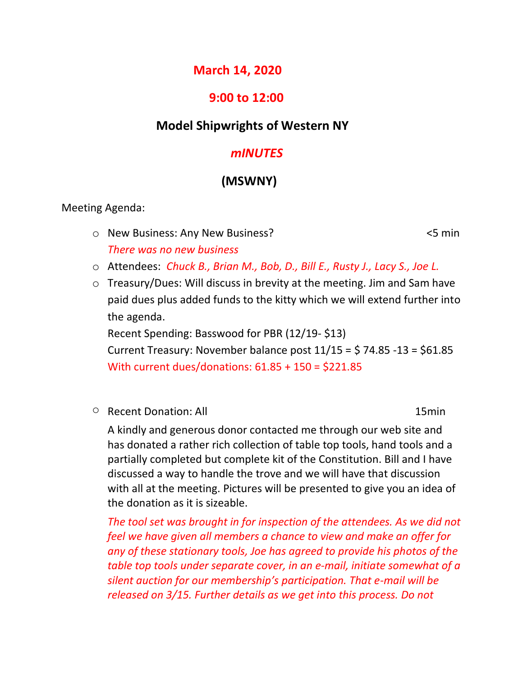# **March 14, 2020**

## **9:00 to 12:00**

## **Model Shipwrights of Western NY**

### *mINUTES*

# **(MSWNY)**

Meeting Agenda:

- o New Business: Any New Business? <5 min *There was no new business*
- o Attendees: *Chuck B., Brian M., Bob, D., Bill E., Rusty J., Lacy S., Joe L.*
- o Treasury/Dues: Will discuss in brevity at the meeting. Jim and Sam have paid dues plus added funds to the kitty which we will extend further into the agenda.

Recent Spending: Basswood for PBR (12/19- \$13) Current Treasury: November balance post  $11/15 = 574.85 - 13 = 561.85$ With current dues/donations: 61.85 + 150 = \$221.85

o Recent Donation: All 15min

A kindly and generous donor contacted me through our web site and has donated a rather rich collection of table top tools, hand tools and a partially completed but complete kit of the Constitution. Bill and I have discussed a way to handle the trove and we will have that discussion with all at the meeting. Pictures will be presented to give you an idea of the donation as it is sizeable.

*The tool set was brought in for inspection of the attendees. As we did not feel we have given all members a chance to view and make an offer for any of these stationary tools, Joe has agreed to provide his photos of the table top tools under separate cover, in an e-mail, initiate somewhat of a silent auction for our membership's participation. That e-mail will be released on 3/15. Further details as we get into this process. Do not*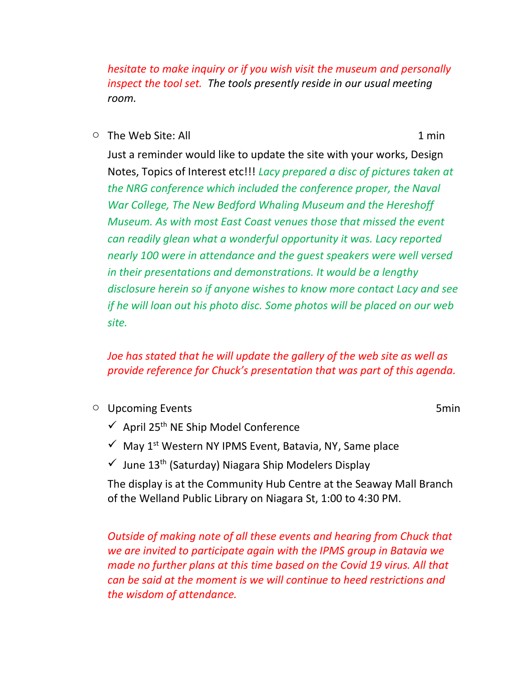*hesitate to make inquiry or if you wish visit the museum and personally inspect the tool set. The tools presently reside in our usual meeting room.*

 $\circ$  The Web Site: All  $\circ$  1 min 1 min

Just a reminder would like to update the site with your works, Design Notes, Topics of Interest etc!!! *Lacy prepared a disc of pictures taken at the NRG conference which included the conference proper, the Naval War College, The New Bedford Whaling Museum and the Hereshoff Museum. As with most East Coast venues those that missed the event can readily glean what a wonderful opportunity it was. Lacy reported nearly 100 were in attendance and the guest speakers were well versed in their presentations and demonstrations. It would be a lengthy disclosure herein so if anyone wishes to know more contact Lacy and see if he will loan out his photo disc. Some photos will be placed on our web site.*

## *Joe has stated that he will update the gallery of the web site as well as provide reference for Chuck's presentation that was part of this agenda.*

**o** Upcoming Events **5min** 

- $\checkmark$  April 25<sup>th</sup> NE Ship Model Conference
- $\checkmark$  May 1<sup>st</sup> Western NY IPMS Event, Batavia, NY, Same place
- $\checkmark$  June 13<sup>th</sup> (Saturday) Niagara Ship Modelers Display

The display is at the Community Hub Centre at the Seaway Mall Branch of the Welland Public Library on Niagara St, 1:00 to 4:30 PM.

*Outside of making note of all these events and hearing from Chuck that we are invited to participate again with the IPMS group in Batavia we made no further plans at this time based on the Covid 19 virus. All that can be said at the moment is we will continue to heed restrictions and the wisdom of attendance.*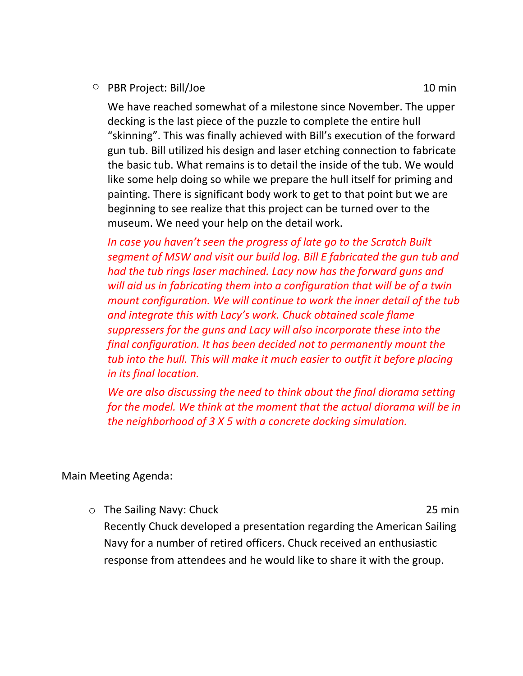o PBR Project: Bill/Joe 10 min

We have reached somewhat of a milestone since November. The upper decking is the last piece of the puzzle to complete the entire hull "skinning". This was finally achieved with Bill's execution of the forward gun tub. Bill utilized his design and laser etching connection to fabricate the basic tub. What remains is to detail the inside of the tub. We would like some help doing so while we prepare the hull itself for priming and painting. There is significant body work to get to that point but we are beginning to see realize that this project can be turned over to the museum. We need your help on the detail work.

*In case you haven't seen the progress of late go to the Scratch Built segment of MSW and visit our build log. Bill E fabricated the gun tub and had the tub rings laser machined. Lacy now has the forward guns and will aid us in fabricating them into a configuration that will be of a twin mount configuration. We will continue to work the inner detail of the tub and integrate this with Lacy's work. Chuck obtained scale flame suppressers for the guns and Lacy will also incorporate these into the final configuration. It has been decided not to permanently mount the tub into the hull. This will make it much easier to outfit it before placing in its final location.*

*We are also discussing the need to think about the final diorama setting for the model. We think at the moment that the actual diorama will be in the neighborhood of 3 X 5 with a concrete docking simulation.*

Main Meeting Agenda:

o The Sailing Navy: Chuck 25 min Recently Chuck developed a presentation regarding the American Sailing Navy for a number of retired officers. Chuck received an enthusiastic response from attendees and he would like to share it with the group.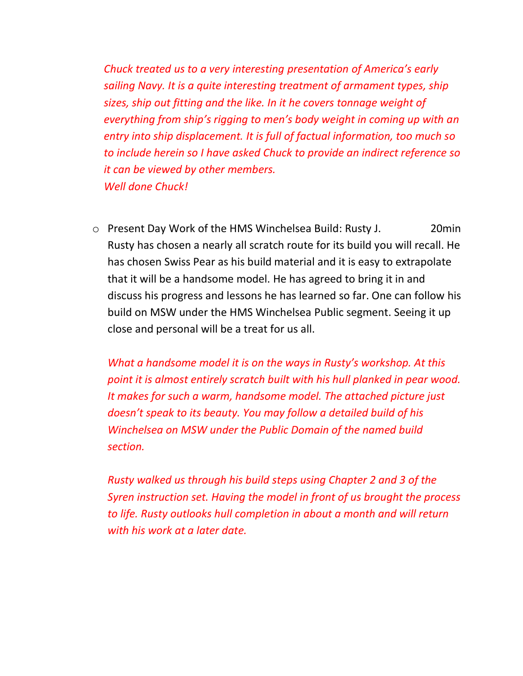*Chuck treated us to a very interesting presentation of America's early sailing Navy. It is a quite interesting treatment of armament types, ship sizes, ship out fitting and the like. In it he covers tonnage weight of everything from ship's rigging to men's body weight in coming up with an entry into ship displacement. It is full of factual information, too much so to include herein so I have asked Chuck to provide an indirect reference so it can be viewed by other members. Well done Chuck!*

o Present Day Work of the HMS Winchelsea Build: Rusty J. 20min Rusty has chosen a nearly all scratch route for its build you will recall. He has chosen Swiss Pear as his build material and it is easy to extrapolate that it will be a handsome model. He has agreed to bring it in and discuss his progress and lessons he has learned so far. One can follow his build on MSW under the HMS Winchelsea Public segment. Seeing it up close and personal will be a treat for us all.

*What a handsome model it is on the ways in Rusty's workshop. At this point it is almost entirely scratch built with his hull planked in pear wood. It makes for such a warm, handsome model. The attached picture just doesn't speak to its beauty. You may follow a detailed build of his Winchelsea on MSW under the Public Domain of the named build section.*

*Rusty walked us through his build steps using Chapter 2 and 3 of the Syren instruction set. Having the model in front of us brought the process to life. Rusty outlooks hull completion in about a month and will return with his work at a later date.*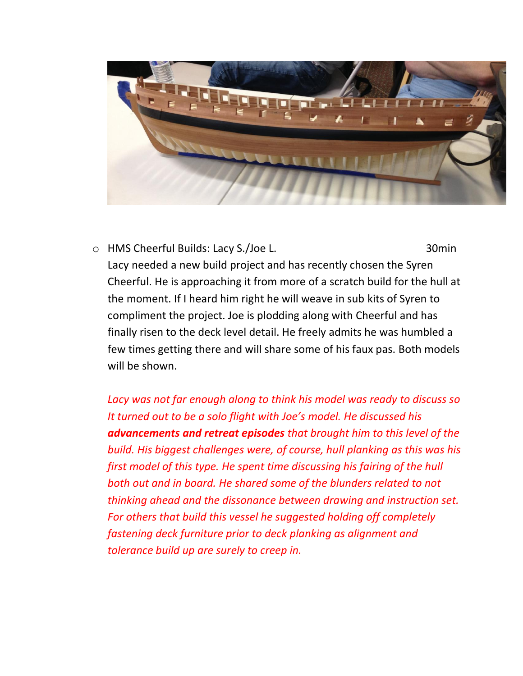

o HMS Cheerful Builds: Lacy S./Joe L. 30min Lacy needed a new build project and has recently chosen the Syren Cheerful. He is approaching it from more of a scratch build for the hull at the moment. If I heard him right he will weave in sub kits of Syren to compliment the project. Joe is plodding along with Cheerful and has finally risen to the deck level detail. He freely admits he was humbled a few times getting there and will share some of his faux pas. Both models will be shown.

*Lacy was not far enough along to think his model was ready to discuss so It turned out to be a solo flight with Joe's model. He discussed his advancements and retreat episodes that brought him to this level of the build. His biggest challenges were, of course, hull planking as this was his first model of this type. He spent time discussing his fairing of the hull both out and in board. He shared some of the blunders related to not thinking ahead and the dissonance between drawing and instruction set. For others that build this vessel he suggested holding off completely fastening deck furniture prior to deck planking as alignment and tolerance build up are surely to creep in.*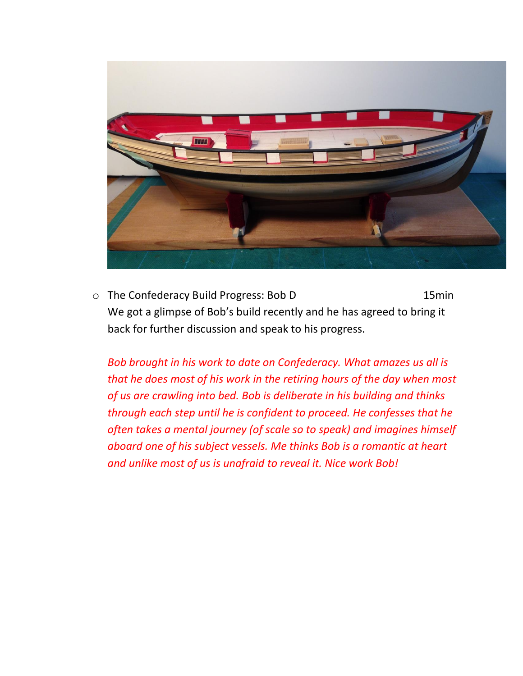

o The Confederacy Build Progress: Bob D 15min We got a glimpse of Bob's build recently and he has agreed to bring it back for further discussion and speak to his progress.

*Bob brought in his work to date on Confederacy. What amazes us all is that he does most of his work in the retiring hours of the day when most of us are crawling into bed. Bob is deliberate in his building and thinks through each step until he is confident to proceed. He confesses that he often takes a mental journey (of scale so to speak) and imagines himself aboard one of his subject vessels. Me thinks Bob is a romantic at heart and unlike most of us is unafraid to reveal it. Nice work Bob!*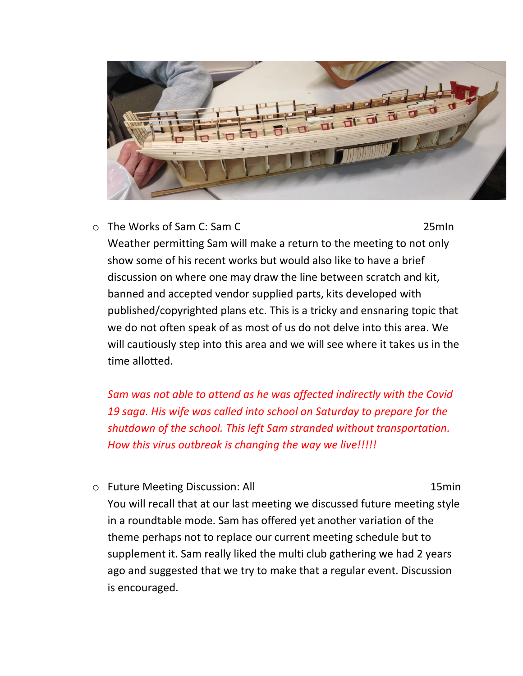

o The Works of Sam C: Sam C 25mIn

Weather permitting Sam will make a return to the meeting to not only show some of his recent works but would also like to have a brief discussion on where one may draw the line between scratch and kit, banned and accepted vendor supplied parts, kits developed with published/copyrighted plans etc. This is a tricky and ensnaring topic that we do not often speak of as most of us do not delve into this area. We will cautiously step into this area and we will see where it takes us in the time allotted.

*Sam was not able to attend as he was affected indirectly with the Covid 19 saga. His wife was called into school on Saturday to prepare for the shutdown of the school. This left Sam stranded without transportation. How this virus outbreak is changing the way we live!!!!!*

o Future Meeting Discussion: All 15min

You will recall that at our last meeting we discussed future meeting style in a roundtable mode. Sam has offered yet another variation of the theme perhaps not to replace our current meeting schedule but to supplement it. Sam really liked the multi club gathering we had 2 years ago and suggested that we try to make that a regular event. Discussion is encouraged.